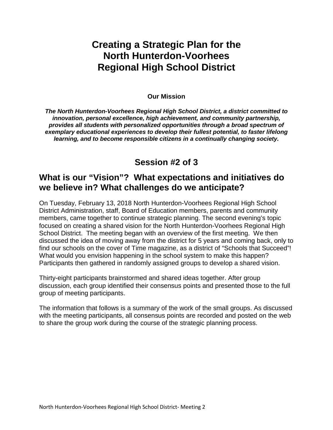# **Creating a Strategic Plan for the North Hunterdon-Voorhees Regional High School District**

#### **Our Mission**

*The North Hunterdon-Voorhees Regional High School District, a district committed to innovation, personal excellence, high achievement, and community partnership, provides all students with personalized opportunities through a broad spectrum of exemplary educational experiences to develop their fullest potential, to faster lifelong learning, and to become responsible citizens in a continually changing society.* 

# **Session #2 of 3**

# **What is our "Vision"? What expectations and initiatives do we believe in? What challenges do we anticipate?**

On Tuesday, February 13, 2018 North Hunterdon-Voorhees Regional High School District Administration, staff, Board of Education members, parents and community members, came together to continue strategic planning. The second evening's topic focused on creating a shared vision for the North Hunterdon-Voorhees Regional High School District. The meeting began with an overview of the first meeting. We then discussed the idea of moving away from the district for 5 years and coming back, only to find our schools on the cover of Time magazine, as a district of "Schools that Succeed"! What would you envision happening in the school system to make this happen? Participants then gathered in randomly assigned groups to develop a shared vision.

Thirty-eight participants brainstormed and shared ideas together. After group discussion, each group identified their consensus points and presented those to the full group of meeting participants.

The information that follows is a summary of the work of the small groups. As discussed with the meeting participants, all consensus points are recorded and posted on the web to share the group work during the course of the strategic planning process.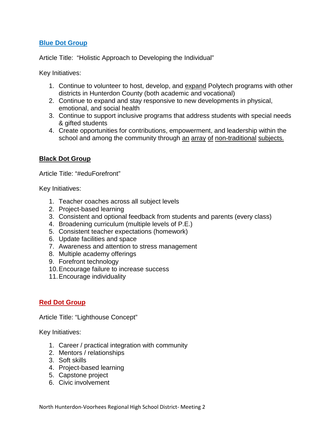#### **Blue Dot Group**

Article Title: "Holistic Approach to Developing the Individual"

Key Initiatives:

- 1. Continue to volunteer to host, develop, and expand Polytech programs with other districts in Hunterdon County (both academic and vocational)
- 2. Continue to expand and stay responsive to new developments in physical, emotional, and social health
- 3. Continue to support inclusive programs that address students with special needs & gifted students
- 4. Create opportunities for contributions, empowerment, and leadership within the school and among the community through an array of non-traditional subjects.

# **Black Dot Group**

Article Title: "#eduForefront"

Key Initiatives:

- 1. Teacher coaches across all subject levels
- 2. Project-based learning
- 3. Consistent and optional feedback from students and parents (every class)
- 4. Broadening curriculum (multiple levels of P.E.)
- 5. Consistent teacher expectations (homework)
- 6. Update facilities and space
- 7. Awareness and attention to stress management
- 8. Multiple academy offerings
- 9. Forefront technology
- 10.Encourage failure to increase success
- 11.Encourage individuality

# **Red Dot Group**

Article Title: "Lighthouse Concept"

Key Initiatives:

- 1. Career / practical integration with community
- 2. Mentors / relationships
- 3. Soft skills
- 4. Project-based learning
- 5. Capstone project
- 6. Civic involvement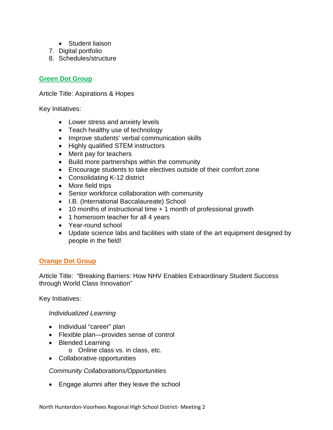- Student liaison
- 7. Digital portfolio
- 8. Schedules/structure

#### **Green Dot Group**

Article Title: Aspirations & Hopes

Key Initiatives:

- Lower stress and anxiety levels
- Teach healthy use of technology
- Improve students' verbal communication skills
- Highly qualified STEM instructors
- Merit pay for teachers
- Build more partnerships within the community
- Encourage students to take electives outside of their comfort zone
- Consolidating K-12 district
- More field trips
- Senior workforce collaboration with community
- I.B. (International Baccalaureate) School
- 10 months of instructional time + 1 month of professional growth
- 1 homeroom teacher for all 4 years
- Year-round school
- Update science labs and facilities with state of the art equipment designed by people in the field!

# **Orange Dot Group**

Article Title: "Breaking Barriers: How NHV Enables Extraordinary Student Success through World Class Innovation"

Key Initiatives:

#### *Individualized Learning*

- Individual "career" plan
- Flexible plan—provides sense of control
- Blended Learning
	- o Online class vs. in class, etc.
- Collaborative opportunities

*Community Collaborations/Opportunities* 

• Engage alumni after they leave the school